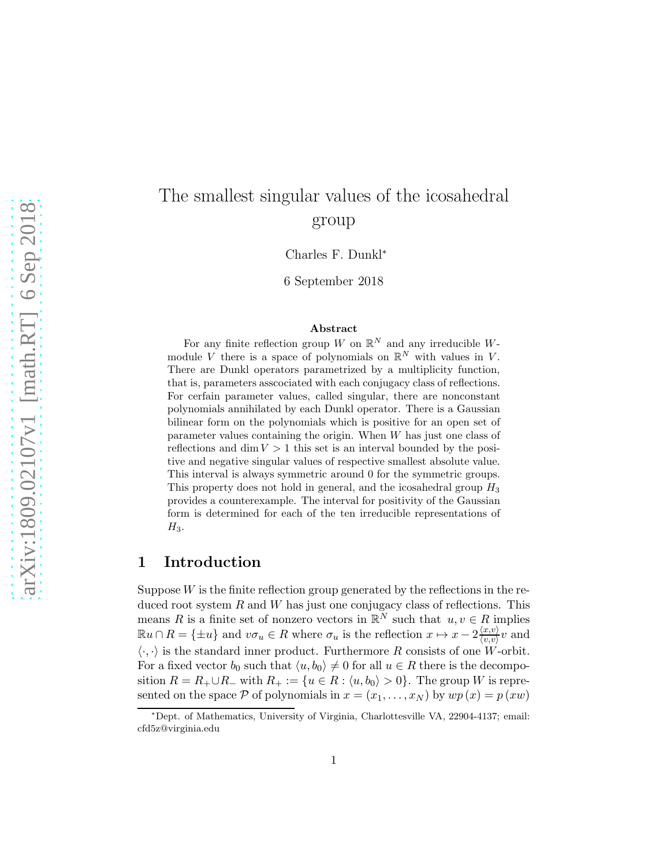# The smallest singular values of the icosahedral group

Charles F. Dunkl<sup>∗</sup>

6 September 2018

#### Abstract

For any finite reflection group W on  $\mathbb{R}^N$  and any irreducible Wmodule V there is a space of polynomials on  $\mathbb{R}^N$  with values in V. There are Dunkl operators parametrized by a multiplicity function, that is, parameters asscociated with each conjugacy class of reflections. For cerfain parameter values, called singular, there are nonconstant polynomials annihilated by each Dunkl operator. There is a Gaussian bilinear form on the polynomials which is positive for an open set of parameter values containing the origin. When  $W$  has just one class of reflections and dim  $V > 1$  this set is an interval bounded by the positive and negative singular values of respective smallest absolute value. This interval is always symmetric around 0 for the symmetric groups. This property does not hold in general, and the icosahedral group  $H_3$ provides a counterexample. The interval for positivity of the Gaussian form is determined for each of the ten irreducible representations of  $H_3$ .

## 1 Introduction

Suppose  $W$  is the finite reflection group generated by the reflections in the reduced root system  $R$  and  $W$  has just one conjugacy class of reflections. This means R is a finite set of nonzero vectors in  $\mathbb{R}^N$  such that  $u, v \in R$  implies  $\mathbb{R}u \cap R = \{\pm u\}$  and  $v\sigma_u \in R$  where  $\sigma_u$  is the reflection  $x \mapsto x - 2\frac{\langle x, v \rangle}{\langle v, v \rangle}$  $\frac{\langle x,v\rangle}{\langle v,v\rangle}v$  and  $\langle \cdot, \cdot \rangle$  is the standard inner product. Furthermore R consists of one W-orbit. For a fixed vector  $b_0$  such that  $\langle u, b_0 \rangle \neq 0$  for all  $u \in R$  there is the decomposition  $R = R_+ \cup R_-$  with  $R_+ := \{u \in R : \langle u, b_0 \rangle > 0\}$ . The group W is represented on the space P of polynomials in  $x = (x_1, \ldots, x_N)$  by  $wp(x) = p(xw)$ 

<sup>∗</sup>Dept. of Mathematics, University of Virginia, Charlottesville VA, 22904-4137; email: cfd5z@virginia.edu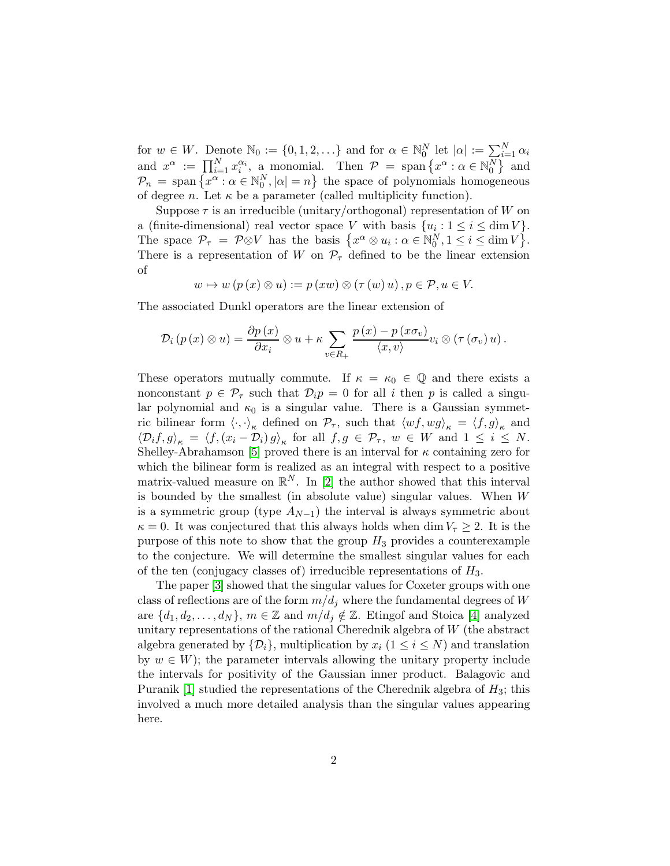for  $w \in W$ . Denote  $\mathbb{N}_0 := \{0, 1, 2, \ldots\}$  and for  $\alpha \in \mathbb{N}_0^N$  let  $|\alpha| := \sum_{i=1}^N \alpha_i$ and  $x^{\alpha} := \prod_{i=1}^{N} x_i^{\alpha_i}$  $\alpha_i^{\alpha_i}$ , a monomial. Then  $\mathcal{P} = \text{span}\left\{x^{\alpha} : \alpha \in \mathbb{N}_0^N\right\}$  and  $\mathcal{P}_n = \text{span}\left\{x^\alpha : \alpha \in \mathbb{N}_0^N, |\alpha| = n\right\}$  the space of polynomials homogeneous of degree *n*. Let  $\kappa$  be a parameter (called multiplicity function).

Suppose  $\tau$  is an irreducible (unitary/orthogonal) representation of W on a (finite-dimensional) real vector space V with basis  $\{u_i: 1 \le i \le \dim V\}$ . The space  $\mathcal{P}_{\tau} = \mathcal{P} \otimes V$  has the basis  $\{x^{\alpha} \otimes u_i : \alpha \in \mathbb{N}_0^N, 1 \leq i \leq \dim V\}$ . There is a representation of W on  $\mathcal{P}_{\tau}$  defined to be the linear extension of

 $w \mapsto w (p (x) \otimes u) := p (xw) \otimes (\tau (w) u), p \in \mathcal{P}, u \in V.$ 

The associated Dunkl operators are the linear extension of

$$
\mathcal{D}_{i}\left(p\left(x\right)\otimes u\right)=\frac{\partial p\left(x\right)}{\partial x_{i}}\otimes u+\kappa\sum_{v\in R_{+}}\frac{p\left(x\right)-p\left(x\sigma_{v}\right)}{\left\langle x,v\right\rangle}v_{i}\otimes\left(\tau\left(\sigma_{v}\right)u\right).
$$

These operators mutually commute. If  $\kappa = \kappa_0 \in \mathbb{Q}$  and there exists a nonconstant  $p \in \mathcal{P}_{\tau}$  such that  $\mathcal{D}_{i}p = 0$  for all i then p is called a singular polynomial and  $\kappa_0$  is a singular value. There is a Gaussian symmetric bilinear form  $\langle \cdot, \cdot \rangle_{\kappa}$  defined on  $\mathcal{P}_{\tau}$ , such that  $\langle wf \rangle_{\kappa} = \langle f, g \rangle_{\kappa}$  and  $\langle \mathcal{D}_i f, g \rangle_{\kappa} = \langle f, (x_i - \mathcal{D}_i) g \rangle_{\kappa}$  for all  $f, g \in \mathcal{P}_{\tau}, w \in W$  and  $1 \leq i \leq N$ . Shelley-Abrahamson [\[5\]](#page-8-0) proved there is an interval for  $\kappa$  containing zero for which the bilinear form is realized as an integral with respect to a positive matrix-valued measure on  $\mathbb{R}^N$ . In [\[2\]](#page-8-1) the author showed that this interval is bounded by the smallest (in absolute value) singular values. When W is a symmetric group (type  $A_{N-1}$ ) the interval is always symmetric about  $\kappa = 0$ . It was conjectured that this always holds when dim  $V_\tau \geq 2$ . It is the purpose of this note to show that the group  $H_3$  provides a counterexample to the conjecture. We will determine the smallest singular values for each of the ten (conjugacy classes of) irreducible representations of  $H_3$ .

The paper [\[3\]](#page-8-2) showed that the singular values for Coxeter groups with one class of reflections are of the form  $m/d_i$  where the fundamental degrees of W are  $\{d_1, d_2, \ldots, d_N\}, m \in \mathbb{Z}$  and  $m/d_j \notin \mathbb{Z}$ . Etingof and Stoica [\[4\]](#page-8-3) analyzed unitary representations of the rational Cherednik algebra of W (the abstract algebra generated by  $\{\mathcal{D}_i\}$ , multiplication by  $x_i$   $(1 \leq i \leq N)$  and translation by  $w \in W$ ; the parameter intervals allowing the unitary property include the intervals for positivity of the Gaussian inner product. Balagovic and Puranik  $|1|$  studied the representations of the Cherednik algebra of  $H_3$ ; this involved a much more detailed analysis than the singular values appearing here.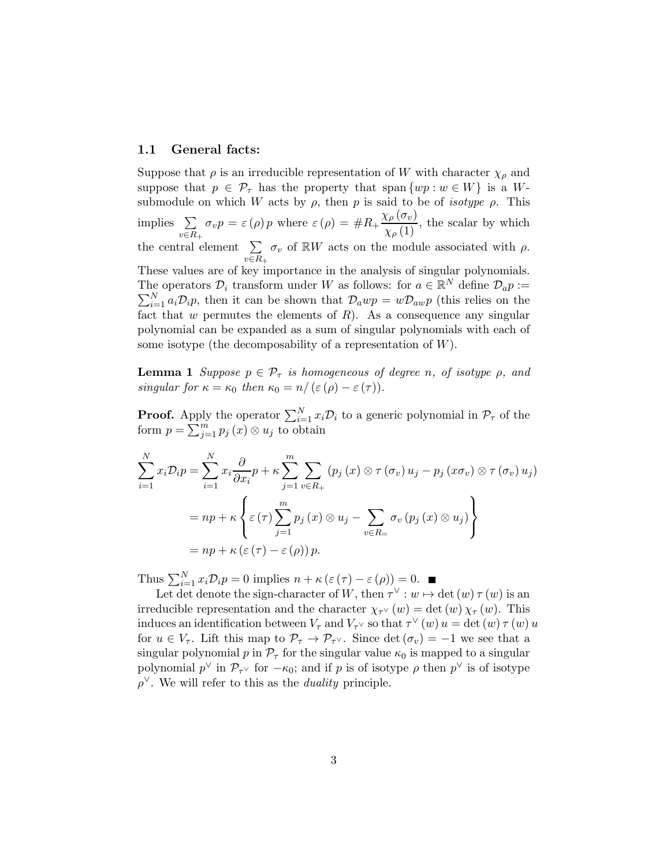#### 1.1 General facts:

Suppose that  $\rho$  is an irreducible representation of W with character  $\chi_{\rho}$  and suppose that  $p \in \mathcal{P}_{\tau}$  has the property that span  $\{wp : w \in W\}$  is a Wsubmodule on which W acts by  $\rho$ , then p is said to be of *isotype*  $\rho$ . This implies  $\Sigma$  $v \in R_+$  $\sigma_v p = \varepsilon(\rho) p$  where  $\varepsilon(\rho) = \#R_+\frac{\chi_\rho(\sigma_v)}{\chi_\rho(1)}$ , the scalar by which the central element  $\Sigma$  $v \in R_+$  $\sigma_v$  of RW acts on the module associated with  $\rho$ . These values are of key importance in the analysis of singular polynomials. The operators  $\mathcal{D}_i$  transform under W as follows: for  $a \in \mathbb{R}^N$  define  $\mathcal{D}_a p :=$  $\sum_{i=1}^{N} a_i \mathcal{D}_i p$ , then it can be shown that  $\mathcal{D}_awp = w\mathcal{D}_{aw}p$  (this relies on the fact that w permutes the elements of  $R$ ). As a consequence any singular polynomial can be expanded as a sum of singular polynomials with each of some isotype (the decomposability of a representation of  $W$ ).

<span id="page-2-0"></span>**Lemma 1** Suppose  $p \in \mathcal{P}_{\tau}$  is homogeneous of degree n, of isotype  $\rho$ , and singular for  $\kappa = \kappa_0$  then  $\kappa_0 = n/(\varepsilon(\rho) - \varepsilon(\tau))$ .

**Proof.** Apply the operator  $\sum_{i=1}^{N} x_i \mathcal{D}_i$  to a generic polynomial in  $\mathcal{P}_{\tau}$  of the form  $p = \sum_{j=1}^{m} p_j(x) \otimes u_j$  to obtain

$$
\sum_{i=1}^{N} x_i \mathcal{D}_i p = \sum_{i=1}^{N} x_i \frac{\partial}{\partial x_i} p + \kappa \sum_{j=1}^{m} \sum_{v \in R_+} (p_j(x) \otimes \tau(\sigma_v) u_j - p_j(x \sigma_v) \otimes \tau(\sigma_v) u_j)
$$
  
= 
$$
np + \kappa \left\{ \varepsilon(\tau) \sum_{j=1}^{m} p_j(x) \otimes u_j - \sum_{v \in R_-} \sigma_v(p_j(x) \otimes u_j) \right\}
$$
  
= 
$$
np + \kappa (\varepsilon(\tau) - \varepsilon(\rho)) p.
$$

Thus  $\sum_{i=1}^{N} x_i \mathcal{D}_i p = 0$  implies  $n + \kappa (\varepsilon (\tau) - \varepsilon (\rho)) = 0$ .

Let det denote the sign-character of W, then  $\tau^{\vee}$  :  $w \mapsto \det(w) \tau(w)$  is an irreducible representation and the character  $\chi_{\tau}(w) = \det(w) \chi_{\tau}(w)$ . This induces an identification between  $V_{\tau}$  and  $V_{\tau} \vee$  so that  $\tau^{\vee}(w) u = \det(w) \tau(w) u$ for  $u \in V_{\tau}$ . Lift this map to  $\mathcal{P}_{\tau} \to \mathcal{P}_{\tau}$ . Since det  $(\sigma_v) = -1$  we see that a singular polynomial p in  $\mathcal{P}_{\tau}$  for the singular value  $\kappa_0$  is mapped to a singular polynomial  $p^{\vee}$  in  $\mathcal{P}_{\tau^{\vee}}$  for  $-\kappa_0$ ; and if p is of isotype  $\rho$  then  $p^{\vee}$  is of isotype  $\rho^{\vee}$ . We will refer to this as the *duality* principle.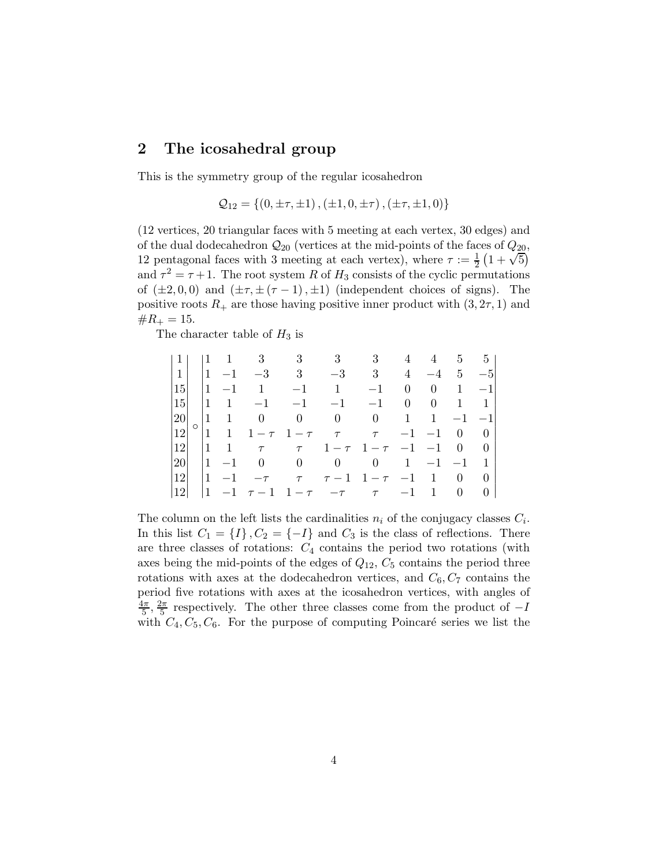## 2 The icosahedral group

This is the symmetry group of the regular icosahedron

$$
Q_{12} = \{ (0, \pm \tau, \pm 1), (\pm 1, 0, \pm \tau), (\pm \tau, \pm 1, 0) \}
$$

(12 vertices, 20 triangular faces with 5 meeting at each vertex, 30 edges) and of the dual dodecahedron  $\mathcal{Q}_{20}$  (vertices at the mid-points of the faces of  $Q_{20}$ , 12 pentagonal faces with 3 meeting at each vertex), where  $\tau := \frac{1}{2} (1 + \sqrt{5})$ and  $\tau^2 = \tau + 1$ . The root system R of H<sub>3</sub> consists of the cyclic permutations of  $(\pm 2, 0, 0)$  and  $(\pm \tau, \pm (\tau - 1), \pm 1)$  (independent choices of signs). The positive roots  $R_+$  are those having positive inner product with  $(3, 2\tau, 1)$  and  $\#R_+ = 15.$ 

The character table of  $H_3$  is

|          |         |                 |                | $1 \quad 3$          |                | $3 \qquad 3$   | 3 <sup>1</sup>                  | $\overline{4}$ | 4        | $5 -$                           | 5 <sub>1</sub> |
|----------|---------|-----------------|----------------|----------------------|----------------|----------------|---------------------------------|----------------|----------|---------------------------------|----------------|
| $1\vert$ |         | $\vert$ 1       | $-1$           | $-3$                 | 3 <sup>3</sup> | $-3$           | 3 <sup>1</sup>                  | $\overline{4}$ | $-4$     | 5                               | $-5$           |
| 15       |         | $ 1\rangle$     | $-1$           | $\mathbf{1}$         | $-1$           | $\mathbf{1}$   | $-1$                            | $\theta$       | $\theta$ | 1                               | $-1$           |
| 15       |         | $\vert$ 1       | -1             | $-1$                 | $-1$           | $-1$           | $-1$                            | $\overline{0}$ | $\theta$ | 1                               | $\mathbf{1}$   |
| 20       |         | $\vert 1 \vert$ | $\overline{1}$ | $\overline{0}$       | $\overline{0}$ | $\overline{0}$ | $\overline{0}$                  | 1              | 1        | $-1$                            | $-1$           |
| 12       | $\circ$ |                 |                | $ 1 \t1 \t1 - \tau $ | $1-\tau$       |                | $\tau$ $\tau$                   | $-1$           | $-1$     | $\begin{matrix} 0 \end{matrix}$ | $\overline{0}$ |
| 12       |         | $\vert$ 1       | $\overline{1}$ | $\tau$               | $\tau$         |                | $1 - \tau$ $1 - \tau$ $-1$ $-1$ |                |          | $\overline{0}$                  | -0             |
| 20       |         | $\vert$ 1       | $-1$           | $\overline{0}$       | $\overline{0}$ | $\overline{0}$ | $\overline{0}$                  | $\mathbf{1}$   | $-1$     | $-1$                            |                |
| 12       |         | $\pm 1$         | $-1$           | $-\tau$              | $\tau$         |                | $\tau-1$ 1- $\tau$              | $-1$           | -1       | 0                               | 0              |
| 12       |         |                 |                | $-1$ $\tau-1$        | $-\tau$        | $-\tau$        | $\tau$                          | $-1$           | 1        | $\overline{0}$                  | $\theta$       |

The column on the left lists the cardinalities  $n_i$  of the conjugacy classes  $C_i$ . In this list  $C_1 = \{I\}$ ,  $C_2 = \{-I\}$  and  $C_3$  is the class of reflections. There are three classes of rotations:  $C_4$  contains the period two rotations (with axes being the mid-points of the edges of  $Q_{12}$ ,  $C_5$  contains the period three rotations with axes at the dodecahedron vertices, and  $C_6$ ,  $C_7$  contains the period five rotations with axes at the icosahedron vertices, with angles of  $4\pi$  $\frac{1\pi}{5}, \frac{2\pi}{5}$  $\frac{2\pi}{5}$  respectively. The other three classes come from the product of  $-I$ with  $C_4, C_5, C_6$ . For the purpose of computing Poincaré series we list the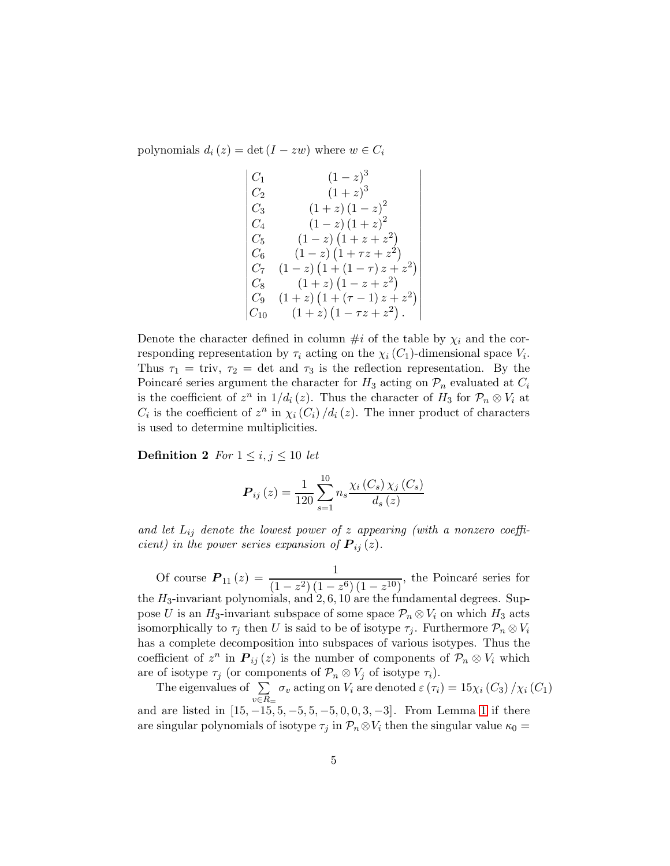polynomials  $d_i(z) = \det(I - zw)$  where  $w \in C_i$ 

$$
\begin{vmatrix}\nC_1 & (1-z)^3 \\
C_2 & (1+z)^3 \\
C_3 & (1+z)(1-z)^2 \\
C_4 & (1-z)(1+z)^2 \\
C_5 & (1-z)(1+z+z^2) \\
C_6 & (1-z)(1+\tau z+z^2) \\
C_7 & (1-z)(1+(1-\tau)z+z^2) \\
C_8 & (1+z)(1-z+z^2) \\
C_9 & (1+z)(1+(\tau-1)z+z^2) \\
C_{10} & (1+z)(1-\tau z+z^2).\n\end{vmatrix}
$$

 $\overline{\phantom{a}}$  $\overline{\phantom{a}}$ I  $\overline{\phantom{a}}$  $\overline{\phantom{a}}$  $\overline{\phantom{a}}$ I  $\overline{\phantom{a}}$ I  $\overline{\phantom{a}}$  $\overline{\phantom{a}}$ I  $\overline{\phantom{a}}$ I  $\overline{\phantom{a}}$  $\overline{\phantom{a}}$  $\overline{\phantom{a}}$ I  $\overline{\phantom{a}}$ I  $\overline{1}$ 

Denote the character defined in column  $\#i$  of the table by  $\chi_i$  and the corresponding representation by  $\tau_i$  acting on the  $\chi_i(C_1)$ -dimensional space  $V_i$ . Thus  $\tau_1 = \text{triv}, \tau_2 = \text{det} \text{ and } \tau_3$  is the reflection representation. By the Poincaré series argument the character for  $H_3$  acting on  $\mathcal{P}_n$  evaluated at  $C_i$ is the coefficient of  $z^n$  in  $1/d_i(z)$ . Thus the character of  $H_3$  for  $\mathcal{P}_n \otimes V_i$  at  $C_i$  is the coefficient of  $z^n$  in  $\chi_i(C_i)/d_i(z)$ . The inner product of characters is used to determine multiplicities.

**Definition 2** For  $1 \leq i, j \leq 10$  let

$$
\boldsymbol{P}_{ij}\left(z\right) = \frac{1}{120} \sum_{s=1}^{10} n_s \frac{\chi_i\left(C_s\right) \chi_j\left(C_s\right)}{d_s\left(z\right)}
$$

and let  $L_{ij}$  denote the lowest power of z appearing (with a nonzero coefficient) in the power series expansion of  $P_{ij}(z)$ .

Of course  $P_{11}(z) = \frac{1}{(1-z^2)(1-z^2)}$  $\frac{(1-z^2)(1-z^6)(1-z^{10})}{(1-z^6)(1-z^{10})}$ , the Poincaré series for the  $H_3$ -invariant polynomials, and 2, 6, 10 are the fundamental degrees. Suppose U is an  $H_3$ -invariant subspace of some space  $\mathcal{P}_n \otimes V_i$  on which  $H_3$  acts isomorphically to  $\tau_j$  then U is said to be of isotype  $\tau_j$ . Furthermore  $\mathcal{P}_n \otimes V_i$ has a complete decomposition into subspaces of various isotypes. Thus the coefficient of  $z^n$  in  $P_{ij}(z)$  is the number of components of  $\mathcal{P}_n \otimes V_i$  which are of isotype  $\tau_j$  (or components of  $\mathcal{P}_n \otimes V_j$  of isotype  $\tau_i$ ).

The eigenvalues of  $\Sigma$  $v \in R =$  $\sigma_v$  acting on  $V_i$  are denoted  $\varepsilon(\tau_i) = 15\chi_i(C_3)/\chi_i(C_1)$ and are listed in  $[15, -15, 5, -5, 5, -5, 0, 0, 3, -3]$ . From Lemma [1](#page-2-0) if there are singular polynomials of isotype  $\tau_j$  in  $\mathcal{P}_n \otimes V_i$  then the singular value  $\kappa_0 =$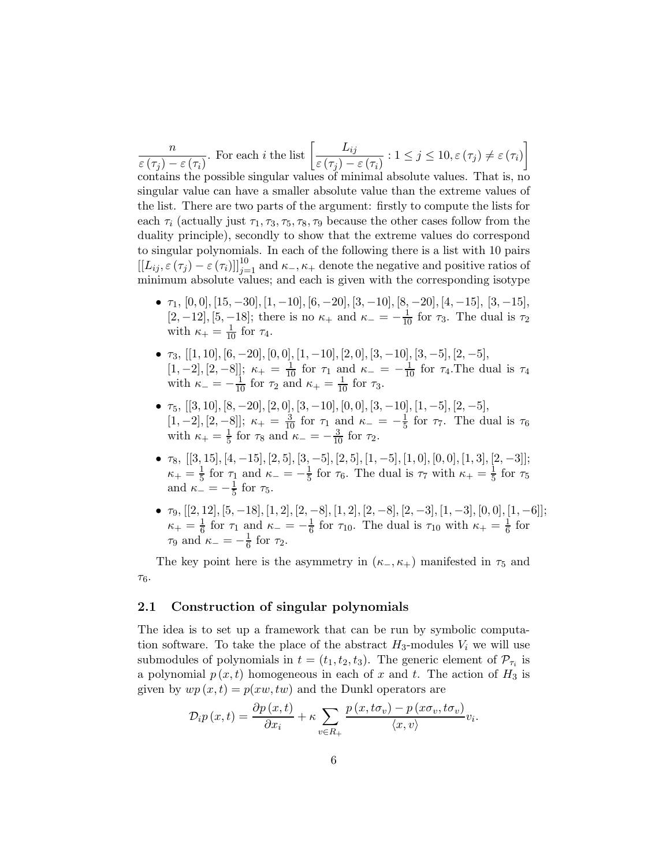n  $\varepsilon\left(\tau_{j}\right)-\varepsilon\left(\tau_{i}\right)$ . For each *i* the list  $\left[\frac{L_{ij}}{\sqrt{2\pi}}\right]$  $\frac{L_{ij}}{\varepsilon\left(\tau_{j}\right)-\varepsilon\left(\tau_{i}\right)}$ :  $1\leq j\leq10, \varepsilon\left(\tau_{j}\right)\neq\varepsilon\left(\tau_{i}\right)$ contains the possible singular values of minimal absolute values. That is, no singular value can have a smaller absolute value than the extreme values of the list. There are two parts of the argument: firstly to compute the lists for each  $\tau_i$  (actually just  $\tau_1, \tau_3, \tau_5, \tau_8, \tau_9$  because the other cases follow from the duality principle), secondly to show that the extreme values do correspond to singular polynomials. In each of the following there is a list with 10 pairs  $[[L_{ij}, \varepsilon(\tau_j) - \varepsilon(\tau_i)]]_{j=1}^{10}$  and  $\kappa_{-}, \kappa_{+}$  denote the negative and positive ratios of minimum absolute values; and each is given with the corresponding isotype

- $\tau_1$ ,  $[0, 0]$ ,  $[15, -30]$ ,  $[1, -10]$ ,  $[6, -20]$ ,  $[3, -10]$ ,  $[8, -20]$ ,  $[4, -15]$ ,  $[3, -15]$ , [2, -12], [5, -18]; there is no  $\kappa_+$  and  $\kappa_- = -\frac{1}{10}$  for  $\tau_3$ . The dual is  $\tau_2$ with  $\kappa_+ = \frac{1}{10}$  for  $\tau_4$ .
- $\tau_3$ , [[1, 10], [6, -20], [0, 0], [1, -10], [2, 0], [3, -10], [3, -5], [2, -5],  $[1, -2], [2, -8]$ ;  $\kappa_+ = \frac{1}{10}$  for  $\tau_1$  and  $\kappa_- = -\frac{1}{10}$  for  $\tau_4$ . The dual is  $\tau_4$ with  $\kappa_- = -\frac{1}{10}$  for  $\tau_2$  and  $\kappa_+ = \frac{1}{10}$  for  $\tau_3$ .
- $\tau_5$ ,  $[[3, 10], [8, -20], [2, 0], [3, -10], [0, 0], [3, -10], [1, -5], [2, -5],$  $[1, -2], [2, -8]]; \ \kappa_+ = \frac{3}{10} \text{ for } \tau_1 \text{ and } \kappa_- = -\frac{1}{5}$  $rac{1}{5}$  for  $\tau_7$ . The dual is  $\tau_6$ with  $\kappa_+ = \frac{1}{5}$  $\frac{1}{5}$  for  $\tau_8$  and  $\kappa_- = -\frac{3}{10}$  for  $\tau_2$ .
- $\tau_8$ ,  $[[3, 15], [4, -15], [2, 5], [3, -5], [2, 5], [1, -5], [1, 0], [0, 0], [1, 3], [2, -3]];$  $\kappa_+ = \frac{1}{5}$  $\frac{1}{5}$  for  $\tau_1$  and  $\kappa_- = -\frac{1}{5}$  $\frac{1}{5}$  for  $\tau_6$ . The dual is  $\tau_7$  with  $\kappa_+ = \frac{1}{5}$  $rac{1}{5}$  for  $\tau_5$ and  $\kappa_{-} = -\frac{1}{5}$  $rac{1}{5}$  for  $\tau_5$ .
- $\tau_9, [[2, 12], [5, -18], [1, 2], [2, -8], [1, 2], [2, -8], [2, -3], [1, -3], [0, 0], [1, -6]];$  $\kappa_+ = \frac{1}{6}$  $\frac{1}{6}$  for  $\tau_1$  and  $\kappa_- = -\frac{1}{6}$  $\frac{1}{6}$  for  $\tau_{10}$ . The dual is  $\tau_{10}$  with  $\kappa_+ = \frac{1}{6}$  $\frac{1}{6}$  for  $\tau_9$  and  $\kappa_- = -\frac{1}{6}$  $rac{1}{6}$  for  $\tau_2$ .

The key point here is the asymmetry in  $(\kappa_-, \kappa_+)$  manifested in  $\tau_5$  and  $\tau_6$ .

### 2.1 Construction of singular polynomials

The idea is to set up a framework that can be run by symbolic computation software. To take the place of the abstract  $H_3$ -modules  $V_i$  we will use submodules of polynomials in  $t = (t_1, t_2, t_3)$ . The generic element of  $\mathcal{P}_{\tau_i}$  is a polynomial  $p(x, t)$  homogeneous in each of x and t. The action of  $H_3$  is given by  $wp(x, t) = p(xw, tw)$  and the Dunkl operators are

$$
\mathcal{D}_{i}p\left(x,t\right) = \frac{\partial p\left(x,t\right)}{\partial x_{i}} + \kappa \sum_{v \in R_{+}} \frac{p\left(x,t\sigma_{v}\right) - p\left(x\sigma_{v},t\sigma_{v}\right)}{\langle x,v \rangle} v_{i}.
$$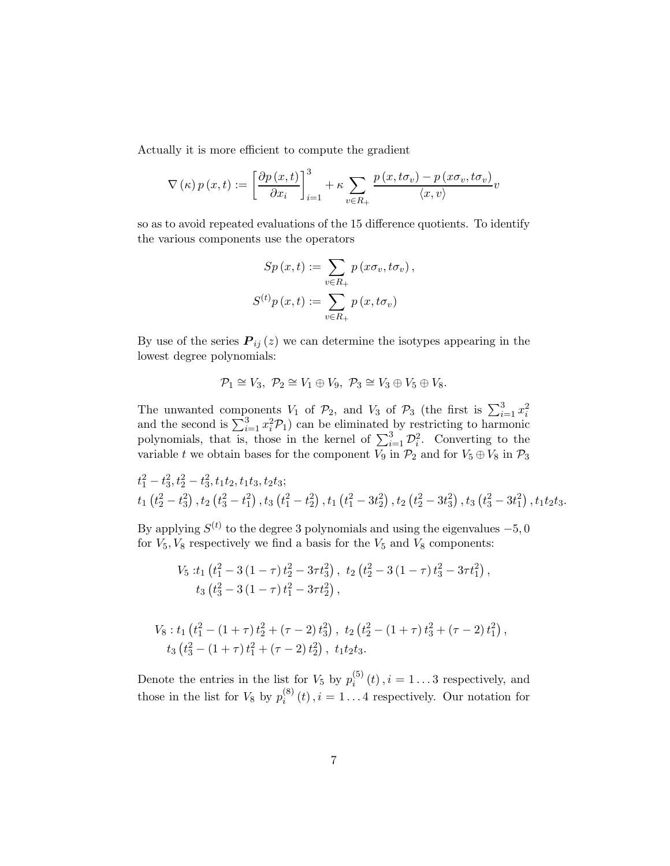Actually it is more efficient to compute the gradient

$$
\nabla(\kappa) p(x,t) := \left[\frac{\partial p(x,t)}{\partial x_i}\right]_{i=1}^3 + \kappa \sum_{v \in R_+} \frac{p(x,t\sigma_v) - p(x\sigma_v,t\sigma_v)}{\langle x,v \rangle} v
$$

so as to avoid repeated evaluations of the 15 difference quotients. To identify the various components use the operators

$$
Sp(x,t) := \sum_{v \in R_+} p(x\sigma_v, t\sigma_v),
$$
  

$$
S^{(t)}p(x,t) := \sum_{v \in R_+} p(x, t\sigma_v)
$$

By use of the series  $P_{ij}(z)$  we can determine the isotypes appearing in the lowest degree polynomials:

$$
\mathcal{P}_1 \cong V_3, \ \mathcal{P}_2 \cong V_1 \oplus V_9, \ \mathcal{P}_3 \cong V_3 \oplus V_5 \oplus V_8.
$$

The unwanted components  $V_1$  of  $\mathcal{P}_2$ , and  $V_3$  of  $\mathcal{P}_3$  (the first is  $\sum_{i=1}^3 x_i^2$  and the second is  $\sum_{i=1}^3 x_i^2 \mathcal{P}_1$ ) can be eliminated by restricting to harmonic polynomials, that is, those in the kernel of  $\sum_{i=1}^{3} \mathcal{D}_i^2$ . Converting to the variable t we obtain bases for the component  $V_9$  in  $\mathcal{P}_2$  and for  $V_5 \oplus V_8$  in  $\mathcal{P}_3$ 

$$
t_1^2 - t_3^2, t_2^2 - t_3^2, t_1t_2, t_1t_3, t_2t_3;
$$
  

$$
t_1(t_2^2 - t_3^2), t_2(t_3^2 - t_1^2), t_3(t_1^2 - t_2^2), t_1(t_1^2 - 3t_2^2), t_2(t_2^2 - 3t_3^2), t_3(t_3^2 - 3t_1^2), t_1t_2t_3.
$$

By applying  $S^{(t)}$  to the degree 3 polynomials and using the eigenvalues  $-5,0$ for  $V_5$ ,  $V_8$  respectively we find a basis for the  $V_5$  and  $V_8$  components:

$$
V_5: t_1 \left(t_1^2 - 3\left(1 - \tau\right)t_2^2 - 3\tau t_3^2\right), t_2 \left(t_2^2 - 3\left(1 - \tau\right)t_3^2 - 3\tau t_1^2\right),t_3 \left(t_3^2 - 3\left(1 - \tau\right)t_1^2 - 3\tau t_2^2\right),
$$

$$
V_8: t_1 \left(t_1^2 - \left(1 + \tau\right) t_2^2 + \left(\tau - 2\right) t_3^2\right), t_2 \left(t_2^2 - \left(1 + \tau\right) t_3^2 + \left(\tau - 2\right) t_1^2\right),t_3 \left(t_3^2 - \left(1 + \tau\right) t_1^2 + \left(\tau - 2\right) t_2^2\right), t_1 t_2 t_3.
$$

Denote the entries in the list for  $V_5$  by  $p_i^{(5)}$  $i_j^{(0)}(t), i = 1...3$  respectively, and those in the list for  $V_8$  by  $p_i^{(8)}$  $i_i^{(0)}(t), i = 1...4$  respectively. Our notation for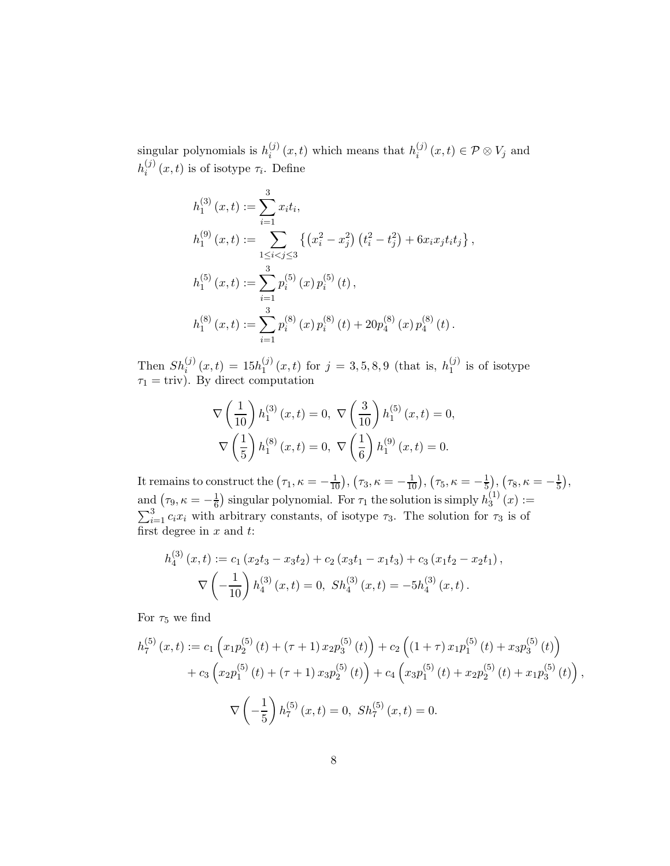singular polynomials is  $h_i^{(j)}$  $i_j^{(j)}(x,t)$  which means that  $h_i^{(j)}$  $i^{(J)}(x,t) \in \mathcal{P} \otimes V_j$  and  $h_i^{(j)}$  $i^{(J)}(x,t)$  is of isotype  $\tau_i$ . Define

$$
h_1^{(3)}(x,t) := \sum_{i=1}^3 x_i t_i,
$$
  
\n
$$
h_1^{(9)}(x,t) := \sum_{1 \le i < j \le 3} \left\{ (x_i^2 - x_j^2) (t_i^2 - t_j^2) + 6x_i x_j t_i t_j \right\},
$$
  
\n
$$
h_1^{(5)}(x,t) := \sum_{i=1}^3 p_i^{(5)}(x) p_i^{(5)}(t),
$$
  
\n
$$
h_1^{(8)}(x,t) := \sum_{i=1}^3 p_i^{(8)}(x) p_i^{(8)}(t) + 20p_4^{(8)}(x) p_4^{(8)}(t).
$$

Then  $Sh_i^{(j)}(x,t) = 15h_1^{(j)}$  $j_1^{(j)}(x,t)$  for  $j=3,5,8,9$  (that is,  $h_1^{(j)}$  $j^{(j)}_1$  is of isotype  $\tau_1 = \text{triv}$ . By direct computation

$$
\nabla \left(\frac{1}{10}\right) h_1^{(3)}(x,t) = 0, \ \nabla \left(\frac{3}{10}\right) h_1^{(5)}(x,t) = 0,
$$

$$
\nabla \left(\frac{1}{5}\right) h_1^{(8)}(x,t) = 0, \ \nabla \left(\frac{1}{6}\right) h_1^{(9)}(x,t) = 0.
$$

It remains to construct the  $(\tau_1, \kappa = -\frac{1}{10}), (\tau_3, \kappa = -\frac{1}{10}), (\tau_5, \kappa = -\frac{1}{5})$  $(\frac{1}{5}), (\tau_8, \kappa = -\frac{1}{5})$  $(\frac{1}{5}),$ and  $(\tau_9, \kappa = -\frac{1}{6})$  singular polynomial. For  $\tau_1$  the solution is simply  $h_3^{(1)}$  $j_3^{(1)}(x):=$  $\sum_{i=1}^{3} c_i x_i$  with arbitrary constants, of isotype  $\tau_3$ . The solution for  $\tau_3$  is of first degree in  $x$  and  $t$ :

$$
h_4^{(3)}(x,t) := c_1 (x_2t_3 - x_3t_2) + c_2 (x_3t_1 - x_1t_3) + c_3 (x_1t_2 - x_2t_1),
$$
  

$$
\nabla \left(-\frac{1}{10}\right) h_4^{(3)}(x,t) = 0, Sh_4^{(3)}(x,t) = -5h_4^{(3)}(x,t).
$$

For  $\tau_5$  we find

$$
h_7^{(5)}(x,t) := c_1 \left( x_1 p_2^{(5)}(t) + (\tau + 1) x_2 p_3^{(5)}(t) \right) + c_2 \left( (1 + \tau) x_1 p_1^{(5)}(t) + x_3 p_3^{(5)}(t) \right) + c_3 \left( x_2 p_1^{(5)}(t) + (\tau + 1) x_3 p_2^{(5)}(t) \right) + c_4 \left( x_3 p_1^{(5)}(t) + x_2 p_2^{(5)}(t) + x_1 p_3^{(5)}(t) \right),
$$
  

$$
\nabla \left( -\frac{1}{5} \right) h_7^{(5)}(x,t) = 0, \ Sh_7^{(5)}(x,t) = 0.
$$